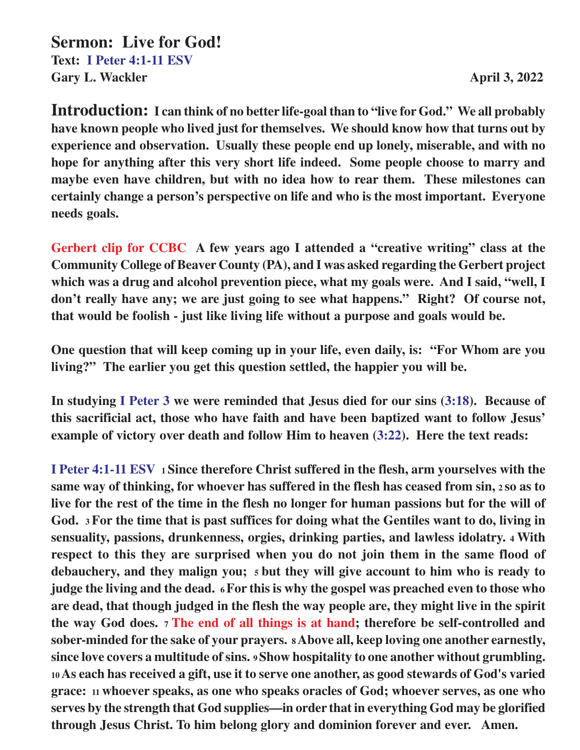**Sermon: Live for God! Text: I Peter 4:1-11 ESV Gary L. Wackler April 3, 2022** 

**Introduction: I can think of no better life-goal than to "live for God." We all probably have known people who lived just for themselves. We should know how that turns out by experience and observation. Usually these people end up lonely, miserable, and with no hope for anything after this very short life indeed. Some people choose to marry and maybe even have children, but with no idea how to rear them. These milestones can certainly change a person's perspective on life and who is the most important. Everyone needs goals.**

**Gerbert clip for CCBC A few years ago I attended a "creative writing" class at the Community College of Beaver County (PA), and I was asked regarding the Gerbert project which was a drug and alcohol prevention piece, what my goals were. And I said, "well, I don't really have any; we are just going to see what happens." Right? Of course not, that would be foolish - just like living life without a purpose and goals would be.**

**One question that will keep coming up in your life, even daily, is: "For Whom are you living?" The earlier you get this question settled, the happier you will be.**

**In studying I Peter 3 we were reminded that Jesus died for our sins (3:18). Because of this sacrificial act, those who have faith and have been baptized want to follow Jesus' example of victory over death and follow Him to heaven (3:22). Here the text reads:**

**I Peter 4:1-11 ESV 1 Since therefore Christ suffered in the flesh, arm yourselves with the same way of thinking, for whoever has suffered in the flesh has ceased from sin, 2 so as to live for the rest of the time in the flesh no longer for human passions but for the will of God. 3 For the time that is past suffices for doing what the Gentiles want to do, living in sensuality, passions, drunkenness, orgies, drinking parties, and lawless idolatry. 4 With respect to this they are surprised when you do not join them in the same flood of debauchery, and they malign you; 5 but they will give account to him who is ready to judge the living and the dead. 6 For this is why the gospel was preached even to those who are dead, that though judged in the flesh the way people are, they might live in the spirit the way God does. 7 The end of all things is at hand; therefore be self-controlled and sober-minded for the sake of your prayers. 8 Above all, keep loving one another earnestly, since love covers a multitude of sins. 9 Show hospitality to one another without grumbling. <sup>10</sup>As each has received a gift, use it to serve one another, as good stewards of God's varied grace: 11 whoever speaks, as one who speaks oracles of God; whoever serves, as one who serves by the strength that God supplies—in order that in everything God may be glorified through Jesus Christ. To him belong glory and dominion forever and ever. Amen.**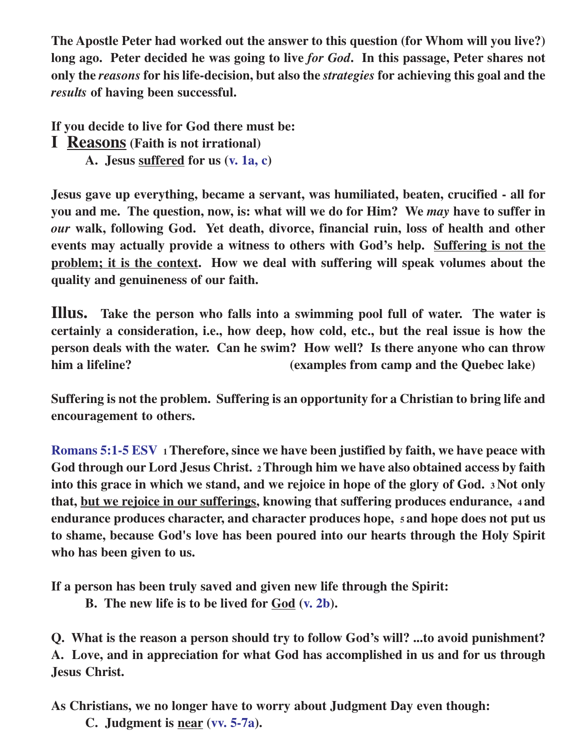**The Apostle Peter had worked out the answer to this question (for Whom will you live?) long ago. Peter decided he was going to live** *for God***. In this passage, Peter shares not only the** *reasons* **for his life-decision, but also the** *strategies* **for achieving this goal and the** *results* **of having been successful.**

**If you decide to live for God there must be:**

**I Reasons (Faith is not irrational)**

**A. Jesus suffered for us (v. 1a, c)**

**Jesus gave up everything, became a servant, was humiliated, beaten, crucified - all for you and me. The question, now, is: what will we do for Him? We** *may* **have to suffer in** *our* **walk, following God. Yet death, divorce, financial ruin, loss of health and other events may actually provide a witness to others with God's help. Suffering is not the problem; it is the context. How we deal with suffering will speak volumes about the quality and genuineness of our faith.**

**Illus. Take the person who falls into a swimming pool full of water. The water is certainly a consideration, i.e., how deep, how cold, etc., but the real issue is how the person deals with the water. Can he swim? How well? Is there anyone who can throw him a lifeline? (examples from camp and the Quebec lake)**

**Suffering is not the problem. Suffering is an opportunity for a Christian to bring life and encouragement to others.**

**Romans 5:1-5 ESV 1 Therefore, since we have been justified by faith, we have peace with God through our Lord Jesus Christ. 2 Through him we have also obtained access by faith into this grace in which we stand, and we rejoice in hope of the glory of God. 3 Not only that, but we rejoice in our sufferings, knowing that suffering produces endurance, 4 and endurance produces character, and character produces hope, 5 and hope does not put us to shame, because God's love has been poured into our hearts through the Holy Spirit who has been given to us.**

**If a person has been truly saved and given new life through the Spirit:**

**B. The new life is to be lived for God (v. 2b).**

**Q. What is the reason a person should try to follow God's will? ...to avoid punishment? A. Love, and in appreciation for what God has accomplished in us and for us through Jesus Christ.**

**As Christians, we no longer have to worry about Judgment Day even though:**

**C. Judgment is near (vv. 5-7a).**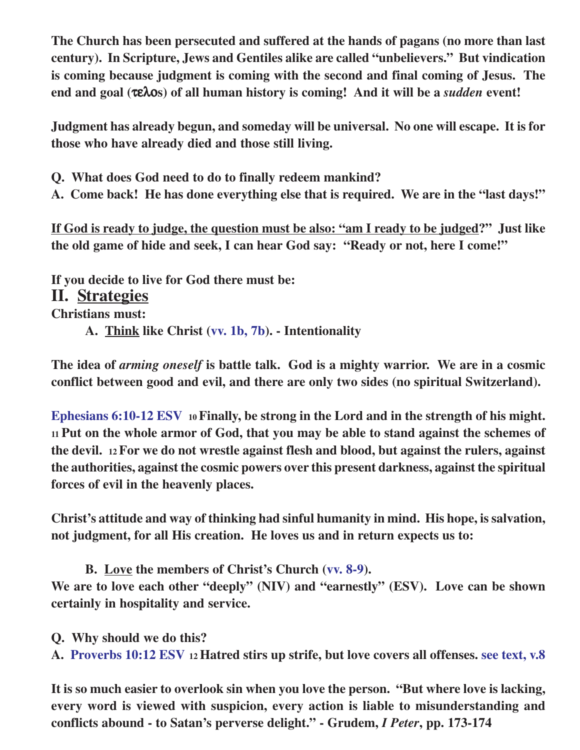**The Church has been persecuted and suffered at the hands of pagans (no more than last century). In Scripture, Jews and Gentiles alike are called "unbelievers." But vindication is coming because judgment is coming with the second and final coming of Jesus. The end and goal (**τελο**s) of all human history is coming! And it will be a** *sudden* **event!**

**Judgment has already begun, and someday will be universal. No one will escape. It is for those who have already died and those still living.**

**Q. What does God need to do to finally redeem mankind?**

**A. Come back! He has done everything else that is required. We are in the "last days!"**

**If God is ready to judge, the question must be also: "am I ready to be judged?" Just like the old game of hide and seek, I can hear God say: "Ready or not, here I come!"**

**If you decide to live for God there must be: II. Strategies Christians must: A. Think like Christ (vv. 1b, 7b). - Intentionality**

**The idea of** *arming oneself* **is battle talk. God is a mighty warrior. We are in a cosmic conflict between good and evil, and there are only two sides (no spiritual Switzerland).**

**Ephesians 6:10-12 ESV 10 Finally, be strong in the Lord and in the strength of his might. <sup>11</sup>Put on the whole armor of God, that you may be able to stand against the schemes of the devil. 12 For we do not wrestle against flesh and blood, but against the rulers, against the authorities, against the cosmic powers over this present darkness, against the spiritual forces of evil in the heavenly places.**

**Christ's attitude and way of thinking had sinful humanity in mind. His hope, is salvation, not judgment, for all His creation. He loves us and in return expects us to:**

**B. Love the members of Christ's Church (vv. 8-9).**

**We are to love each other "deeply" (NIV) and "earnestly" (ESV). Love can be shown certainly in hospitality and service.**

**Q. Why should we do this?**

**A. Proverbs 10:12 ESV 12 Hatred stirs up strife, but love covers all offenses. see text, v.8**

**It is so much easier to overlook sin when you love the person. "But where love is lacking, every word is viewed with suspicion, every action is liable to misunderstanding and conflicts abound - to Satan's perverse delight." - Grudem,** *I Peter***, pp. 173-174**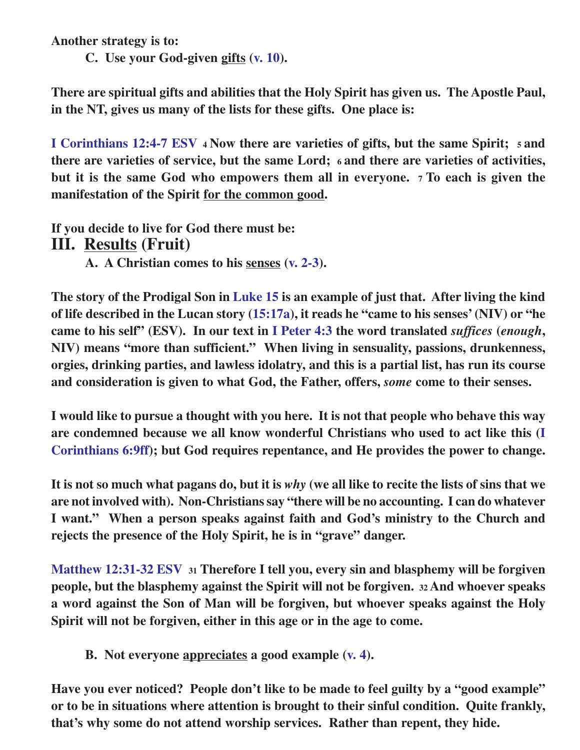**Another strategy is to:**

**C. Use your God-given gifts (v. 10).**

**There are spiritual gifts and abilities that the Holy Spirit has given us. The Apostle Paul, in the NT, gives us many of the lists for these gifts. One place is:**

**I Corinthians 12:4-7 ESV 4 Now there are varieties of gifts, but the same Spirit; 5 and there are varieties of service, but the same Lord; 6 and there are varieties of activities, but it is the same God who empowers them all in everyone. 7 To each is given the manifestation of the Spirit for the common good.**

**If you decide to live for God there must be: III. Results (Fruit)**

**A. A Christian comes to his senses (v. 2-3).**

**The story of the Prodigal Son in Luke 15 is an example of just that. After living the kind of life described in the Lucan story (15:17a), it reads he "came to his senses' (NIV) or "he came to his self" (ESV). In our text in I Peter 4:3 the word translated** *suffices* **(***enough***, NIV) means "more than sufficient." When living in sensuality, passions, drunkenness, orgies, drinking parties, and lawless idolatry, and this is a partial list, has run its course and consideration is given to what God, the Father, offers,** *some* **come to their senses.**

**I would like to pursue a thought with you here. It is not that people who behave this way are condemned because we all know wonderful Christians who used to act like this (I Corinthians 6:9ff); but God requires repentance, and He provides the power to change.**

**It is not so much what pagans do, but it is** *why* **(we all like to recite the lists of sins that we are not involved with). Non-Christians say "there will be no accounting. I can do whatever I want." When a person speaks against faith and God's ministry to the Church and rejects the presence of the Holy Spirit, he is in "grave" danger.**

**Matthew 12:31-32 ESV <sup>31</sup> Therefore I tell you, every sin and blasphemy will be forgiven people, but the blasphemy against the Spirit will not be forgiven. 32 And whoever speaks a word against the Son of Man will be forgiven, but whoever speaks against the Holy Spirit will not be forgiven, either in this age or in the age to come.**

**B. Not everyone appreciates a good example (v. 4).**

**Have you ever noticed? People don't like to be made to feel guilty by a "good example" or to be in situations where attention is brought to their sinful condition. Quite frankly, that's why some do not attend worship services. Rather than repent, they hide.**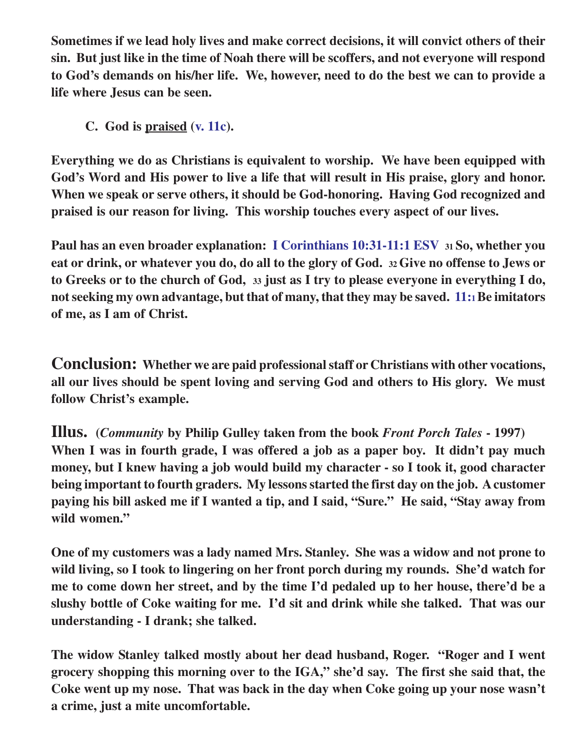**Sometimes if we lead holy lives and make correct decisions, it will convict others of their sin. But just like in the time of Noah there will be scoffers, and not everyone will respond to God's demands on his/her life. We, however, need to do the best we can to provide a life where Jesus can be seen.**

**C. God is praised (v. 11c).**

**Everything we do as Christians is equivalent to worship. We have been equipped with God's Word and His power to live a life that will result in His praise, glory and honor. When we speak or serve others, it should be God-honoring. Having God recognized and praised is our reason for living. This worship touches every aspect of our lives.**

**Paul has an even broader explanation: I Corinthians 10:31-11:1 ESV 31 So, whether you eat or drink, or whatever you do, do all to the glory of God. 32 Give no offense to Jews or to Greeks or to the church of God, 33 just as I try to please everyone in everything I do, not seeking my own advantage, but that of many, that they may be saved. 11:1Be imitators of me, as I am of Christ.**

**Conclusion: Whether we are paid professional staff or Christians with other vocations, all our lives should be spent loving and serving God and others to His glory. We must follow Christ's example.**

**Illus. (***Community* **by Philip Gulley taken from the book** *Front Porch Tales* **- 1997) When I was in fourth grade, I was offered a job as a paper boy. It didn't pay much money, but I knew having a job would build my character - so I took it, good character being important to fourth graders. My lessons started the first day on the job. A customer paying his bill asked me if I wanted a tip, and I said, "Sure." He said, "Stay away from wild women."**

**One of my customers was a lady named Mrs. Stanley. She was a widow and not prone to wild living, so I took to lingering on her front porch during my rounds. She'd watch for me to come down her street, and by the time I'd pedaled up to her house, there'd be a slushy bottle of Coke waiting for me. I'd sit and drink while she talked. That was our understanding - I drank; she talked.**

**The widow Stanley talked mostly about her dead husband, Roger. "Roger and I went grocery shopping this morning over to the IGA," she'd say. The first she said that, the Coke went up my nose. That was back in the day when Coke going up your nose wasn't a crime, just a mite uncomfortable.**